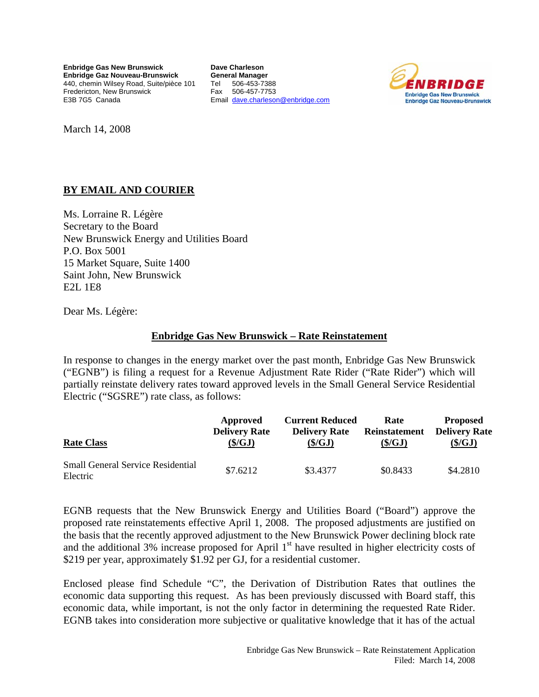**Enbridge Gas New Brunswick Enbridge Gaz Nouveau-Brunswick**  440, chemin Wilsey Road, Suite/pièce 101 Fredericton, New Brunswick E3B 7G5 Canada

**Dave Charleson General Manager**  Tel 506-453-7388 Fax 506-457-7753 Email [dave.charleson@enbridge.com](mailto:dave.charleson@enbridge.com)



March 14, 2008

## **BY EMAIL AND COURIER**

Ms. Lorraine R. Légère Secretary to the Board New Brunswick Energy and Utilities Board P.O. Box 5001 15 Market Square, Suite 1400 Saint John, New Brunswick E2L 1E8

Dear Ms. Légère:

## **Enbridge Gas New Brunswick – Rate Reinstatement**

In response to changes in the energy market over the past month, Enbridge Gas New Brunswick ("EGNB") is filing a request for a Revenue Adjustment Rate Rider ("Rate Rider") which will partially reinstate delivery rates toward approved levels in the Small General Service Residential Electric ("SGSRE") rate class, as follows:

| <b>Rate Class</b>                                    | Approved             | <b>Current Reduced</b> | Rate                 | <b>Proposed</b>      |
|------------------------------------------------------|----------------------|------------------------|----------------------|----------------------|
|                                                      | <b>Delivery Rate</b> | <b>Delivery Rate</b>   | <b>Reinstatement</b> | <b>Delivery Rate</b> |
|                                                      | (\$/GJ)              | $(\frac{5}{G}J)$       | $(\frac{\xi}{G}J)$   | $(\frac{S}{GI})$     |
| <b>Small General Service Residential</b><br>Electric | \$7.6212             | \$3.4377               | \$0.8433             | \$4.2810             |

EGNB requests that the New Brunswick Energy and Utilities Board ("Board") approve the proposed rate reinstatements effective April 1, 2008. The proposed adjustments are justified on the basis that the recently approved adjustment to the New Brunswick Power declining block rate and the additional 3% increase proposed for April  $1<sup>st</sup>$  have resulted in higher electricity costs of \$219 per year, approximately \$1.92 per GJ, for a residential customer.

Enclosed please find Schedule "C", the Derivation of Distribution Rates that outlines the economic data supporting this request. As has been previously discussed with Board staff, this economic data, while important, is not the only factor in determining the requested Rate Rider. EGNB takes into consideration more subjective or qualitative knowledge that it has of the actual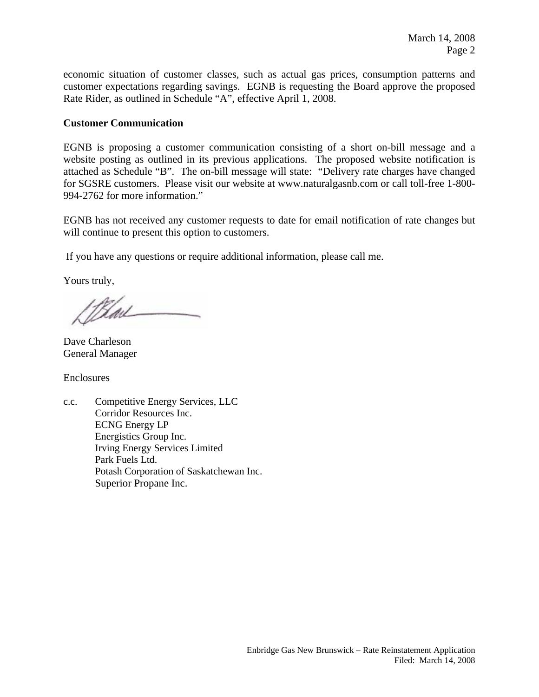economic situation of customer classes, such as actual gas prices, consumption patterns and customer expectations regarding savings. EGNB is requesting the Board approve the proposed Rate Rider, as outlined in Schedule "A", effective April 1, 2008.

## **Customer Communication**

EGNB is proposing a customer communication consisting of a short on-bill message and a website posting as outlined in its previous applications. The proposed website notification is attached as Schedule "B". The on-bill message will state: "Delivery rate charges have changed for SGSRE customers. Please visit our website at www.naturalgasnb.com or call toll-free 1-800- 994-2762 for more information."

EGNB has not received any customer requests to date for email notification of rate changes but will continue to present this option to customers.

If you have any questions or require additional information, please call me.

Yours truly,

Dave Charleson General Manager

Enclosures

c.c. Competitive Energy Services, LLC Corridor Resources Inc. ECNG Energy LP Energistics Group Inc. Irving Energy Services Limited Park Fuels Ltd. Potash Corporation of Saskatchewan Inc. Superior Propane Inc.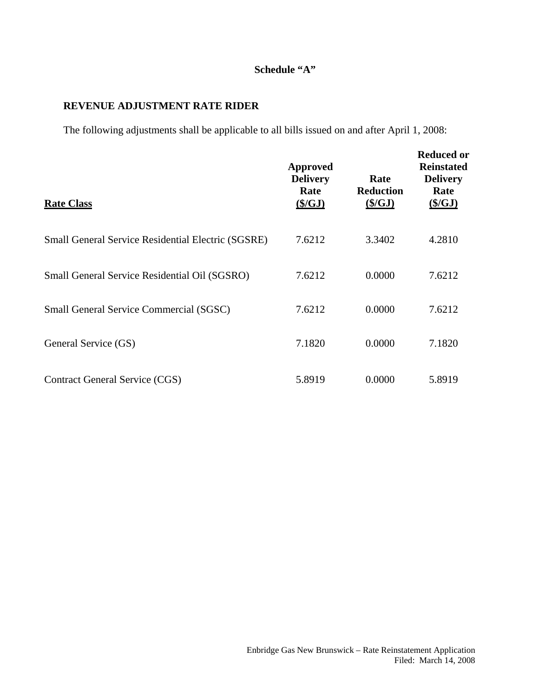## **Schedule "A"**

## **REVENUE ADJUSTMENT RATE RIDER**

The following adjustments shall be applicable to all bills issued on and after April 1, 2008:

| <b>Rate Class</b>                                         | <b>Approved</b><br><b>Delivery</b><br>Rate<br>$(\frac{C}{2})$ | Rate<br><b>Reduction</b><br>$(\frac{C}{2})$ | <b>Reduced or</b><br><b>Reinstated</b><br><b>Delivery</b><br>Rate<br>(S/GJ) |
|-----------------------------------------------------------|---------------------------------------------------------------|---------------------------------------------|-----------------------------------------------------------------------------|
| <b>Small General Service Residential Electric (SGSRE)</b> | 7.6212                                                        | 3.3402                                      | 4.2810                                                                      |
| Small General Service Residential Oil (SGSRO)             | 7.6212                                                        | 0.0000                                      | 7.6212                                                                      |
| <b>Small General Service Commercial (SGSC)</b>            | 7.6212                                                        | 0.0000                                      | 7.6212                                                                      |
| General Service (GS)                                      | 7.1820                                                        | 0.0000                                      | 7.1820                                                                      |
| Contract General Service (CGS)                            | 5.8919                                                        | 0.0000                                      | 5.8919                                                                      |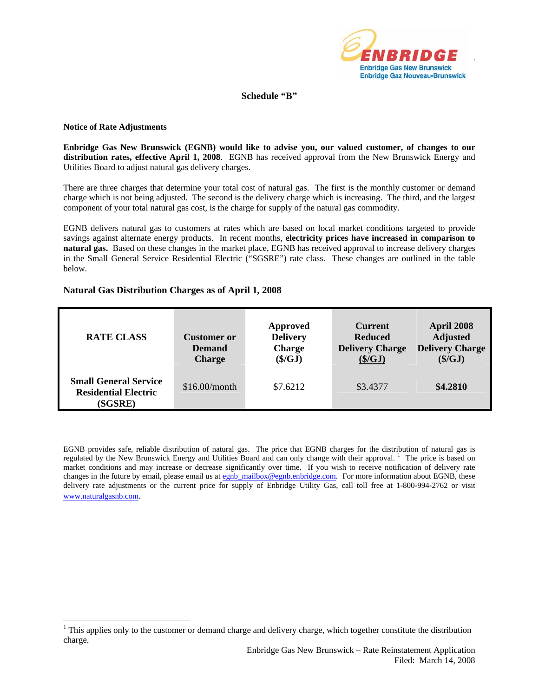

### **Schedule "B"**

#### **Notice of Rate Adjustments**

 $\overline{a}$ 

**Enbridge Gas New Brunswick (EGNB) would like to advise you, our valued customer, of changes to our distribution rates, effective April 1, 2008**. EGNB has received approval from the New Brunswick Energy and Utilities Board to adjust natural gas delivery charges.

There are three charges that determine your total cost of natural gas. The first is the monthly customer or demand charge which is not being adjusted. The second is the delivery charge which is increasing. The third, and the largest component of your total natural gas cost, is the charge for supply of the natural gas commodity.

EGNB delivers natural gas to customers at rates which are based on local market conditions targeted to provide savings against alternate energy products. In recent months, **electricity prices have increased in comparison to natural gas.** Based on these changes in the market place, EGNB has received approval to increase delivery charges in the Small General Service Residential Electric ("SGSRE") rate class. These changes are outlined in the table below.

#### **Natural Gas Distribution Charges as of April 1, 2008**

| <b>RATE CLASS</b>                                                      | <b>Customer</b> or<br><b>Demand</b><br><b>Charge</b> | Approved<br><b>Delivery</b><br><b>Charge</b><br>$(\frac{\xi}{GJ})$ | <b>Current</b><br><b>Reduced</b><br><b>Delivery Charge</b><br>(S/GJ) | April 2008<br><b>Adjusted</b><br><b>Delivery Charge</b><br>(\$/GJ) |
|------------------------------------------------------------------------|------------------------------------------------------|--------------------------------------------------------------------|----------------------------------------------------------------------|--------------------------------------------------------------------|
| <b>Small General Service</b><br><b>Residential Electric</b><br>(SGSRE) | \$16.00/month                                        | \$7.6212                                                           | \$3.4377                                                             | \$4.2810                                                           |

EGNB provides safe, reliable distribution of natural gas. The price that EGNB charges for the distribution of natural gas is regulated by the New Brunswick Energy and Utilities Board and can only change with their approval.<sup>[1](#page-3-0)</sup> The price is based on market conditions and may increase or decrease significantly over time. If you wish to receive notification of delivery rate changes in the future by email, please email us at [egnb\\_mailbox@egnb.enbridge.com.](mailto:egnb_mailbox@egnb.enbridge.com) For more information about EGNB, these delivery rate adjustments or the current price for supply of Enbridge Utility Gas, call toll free at 1-800-994-2762 or visit [www.naturalgasnb.com.](http://www.naturalgasnb.com/)

<span id="page-3-0"></span> $1$  This applies only to the customer or demand charge and delivery charge, which together constitute the distribution charge.